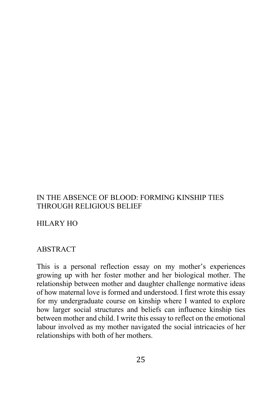# IN THE ABSENCE OF BLOOD: FORMING KINSHIP TIES THROUGH RELIGIOUS BELIEF

HILARY HO

## **ABSTRACT**

This is a personal reflection essay on my mother's experiences growing up with her foster mother and her biological mother. The relationship between mother and daughter challenge normative ideas of how maternal love is formed and understood. I first wrote this essay for my undergraduate course on kinship where I wanted to explore how larger social structures and beliefs can influence kinship ties between mother and child. I write this essay to reflect on the emotional labour involved as my mother navigated the social intricacies of her relationships with both of her mothers.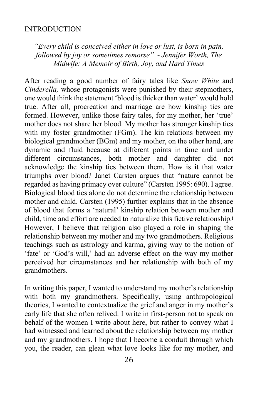#### INTRODUCTION

*"Every child is conceived either in love or lust, is born in pain, followed by joy or sometimes remorse" ~ Jennifer Worth, The Midwife: A Memoir of Birth, Joy, and Hard Times*

After reading a good number of fairy tales like *Snow White* and *Cinderella,* whose protagonists were punished by their stepmothers, one would think the statement 'blood is thicker than water' would hold true. After all, procreation and marriage are how kinship ties are formed. However, unlike those fairy tales, for my mother, her 'true' mother does not share her blood. My mother has stronger kinship ties with my foster grandmother (FGm). The kin relations between my biological grandmother (BGm) and my mother, on the other hand, are dynamic and fluid because at different points in time and under different circumstances, both mother and daughter did not acknowledge the kinship ties between them. How is it that water triumphs over blood? Janet Carsten argues that "nature cannot be regarded as having primacy over culture" (Carsten 1995: 690). I agree. Biological blood ties alone do not determine the relationship between mother and child. Carsten (1995) further explains that in the absence of blood that forms a 'natural' kinship relation between mother and child, time and effort are needed to naturalize this fictive relationship.<sup>i</sup> However, I believe that religion also played a role in shaping the relationship between my mother and my two grandmothers. Religious teachings such as astrology and karma, giving way to the notion of 'fate' or 'God's will,' had an adverse effect on the way my mother perceived her circumstances and her relationship with both of my grandmothers.

In writing this paper, I wanted to understand my mother's relationship with both my grandmothers. Specifically, using anthropological theories, I wanted to contextualize the grief and anger in my mother's early life that she often relived. I write in first-person not to speak on behalf of the women I write about here, but rather to convey what I had witnessed and learned about the relationship between my mother and my grandmothers. I hope that I become a conduit through which you, the reader, can glean what love looks like for my mother, and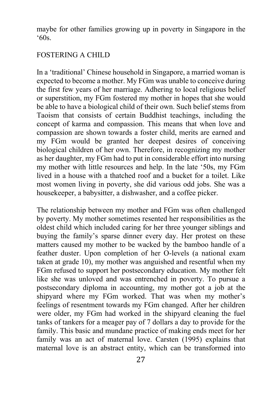maybe for other families growing up in poverty in Singapore in the '60s.

### FOSTERING A CHILD

In a 'traditional' Chinese household in Singapore, a married woman is expected to become a mother. My FGm was unable to conceive during the first few years of her marriage. Adhering to local religious belief or superstition, my FGm fostered my mother in hopes that she would be able to have a biological child of their own. Such belief stems from Taoism that consists of certain Buddhist teachings, including the concept of karma and compassion. This means that when love and compassion are shown towards a foster child, merits are earned and my FGm would be granted her deepest desires of conceiving biological children of her own. Therefore, in recognizing my mother as her daughter, my FGm had to put in considerable effort into nursing my mother with little resources and help. In the late '50s, my FGm lived in a house with a thatched roof and a bucket for a toilet. Like most women living in poverty, she did various odd jobs. She was a housekeeper, a babysitter, a dishwasher, and a coffee picker.

The relationship between my mother and FGm was often challenged by poverty. My mother sometimes resented her responsibilities as the oldest child which included caring for her three younger siblings and buying the family's sparse dinner every day. Her protest on these matters caused my mother to be wacked by the bamboo handle of a feather duster. Upon completion of her O-levels (a national exam taken at grade 10), my mother was anguished and resentful when my FGm refused to support her postsecondary education. My mother felt like she was unloved and was entrenched in poverty. To pursue a postsecondary diploma in accounting, my mother got a job at the shipyard where my FGm worked. That was when my mother's feelings of resentment towards my FGm changed. After her children were older, my FGm had worked in the shipyard cleaning the fuel tanks of tankers for a meager pay of 7 dollars a day to provide for the family. This basic and mundane practice of making ends meet for her family was an act of maternal love. Carsten (1995) explains that maternal love is an abstract entity, which can be transformed into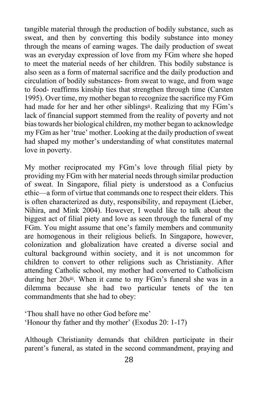tangible material through the production of bodily substance, such as sweat, and then by converting this bodily substance into money through the means of earning wages. The daily production of sweat was an everyday expression of love from my FGm where she hoped to meet the material needs of her children. This bodily substance is also seen as a form of maternal sacrifice and the daily production and circulation of bodily substances- from sweat to wage, and from wage to food- reaffirms kinship ties that strengthen through time (Carsten 1995). Over time, my mother began to recognize the sacrifice my FGm had made for her and her other siblingsii. Realizing that my FGm's lack of financial support stemmed from the reality of poverty and not bias towards her biological children, my mother began to acknowledge my FGm as her 'true' mother. Looking at the daily production of sweat had shaped my mother's understanding of what constitutes maternal love in poverty.

My mother reciprocated my FGm's love through filial piety by providing my FGm with her material needs through similar production of sweat. In Singapore, filial piety is understood as a Confucius ethic—a form of virtue that commands one to respect their elders. This is often characterized as duty, responsibility, and repayment (Lieber, Nihira, and Mink 2004). However, I would like to talk about the biggest act of filial piety and love as seen through the funeral of my FGm. You might assume that one's family members and community are homogenous in their religious beliefs. In Singapore, however, colonization and globalization have created a diverse social and cultural background within society, and it is not uncommon for children to convert to other religions such as Christianity. After attending Catholic school, my mother had converted to Catholicism during her 20siii. When it came to my FGm's funeral she was in a dilemma because she had two particular tenets of the ten commandments that she had to obey:

'Thou shall have no other God before me' 'Honour thy father and thy mother' (Exodus 20: 1-17)

Although Christianity demands that children participate in their parent's funeral, as stated in the second commandment, praying and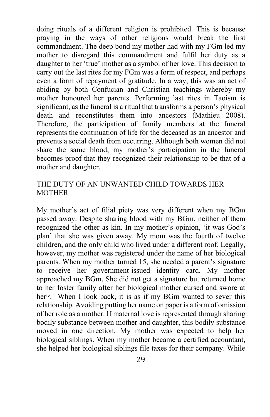doing rituals of a different religion is prohibited. This is because praying in the ways of other religions would break the first commandment. The deep bond my mother had with my FGm led my mother to disregard this commandment and fulfil her duty as a daughter to her 'true' mother as a symbol of her love. This decision to carry out the last rites for my FGm was a form of respect, and perhaps even a form of repayment of gratitude. In a way, this was an act of abiding by both Confucian and Christian teachings whereby my mother honoured her parents. Performing last rites in Taoism is significant, as the funeral is a ritual that transforms a person's physical death and reconstitutes them into ancestors (Mathieu 2008). Therefore, the participation of family members at the funeral represents the continuation of life for the deceased as an ancestor and prevents a social death from occurring. Although both women did not share the same blood, my mother's participation in the funeral becomes proof that they recognized their relationship to be that of a mother and daughter.

## THE DUTY OF AN UNWANTED CHILD TOWARDS HER MOTHER

My mother's act of filial piety was very different when my BGm passed away. Despite sharing blood with my BGm, neither of them recognized the other as kin. In my mother's opinion, 'it was God's plan' that she was given away. My mom was the fourth of twelve children, and the only child who lived under a different roof. Legally, however, my mother was registered under the name of her biological parents. When my mother turned 15, she needed a parent's signature to receive her government-issued identity card. My mother approached my BGm. She did not get a signature but returned home to her foster family after her biological mother cursed and swore at heriv. When I look back, it is as if my BGm wanted to sever this relationship. Avoiding putting her name on paper is a form of omission of her role as a mother. If maternal love is represented through sharing bodily substance between mother and daughter, this bodily substance moved in one direction. My mother was expected to help her biological siblings. When my mother became a certified accountant, she helped her biological siblings file taxes for their company. While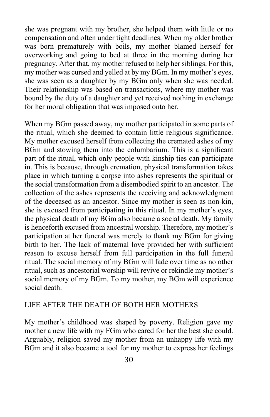she was pregnant with my brother, she helped them with little or no compensation and often under tight deadlines. When my older brother was born prematurely with boils, my mother blamed herself for overworking and going to bed at three in the morning during her pregnancy. After that, my mother refused to help her siblings. For this, my mother was cursed and yelled at by my BGm. In my mother's eyes, she was seen as a daughter by my BGm only when she was needed. Their relationship was based on transactions, where my mother was bound by the duty of a daughter and yet received nothing in exchange for her moral obligation that was imposed onto her.

When my BGm passed away, my mother participated in some parts of the ritual, which she deemed to contain little religious significance. My mother excused herself from collecting the cremated ashes of my BGm and stowing them into the columbarium. This is a significant part of the ritual, which only people with kinship ties can participate in. This is because, through cremation, physical transformation takes place in which turning a corpse into ashes represents the spiritual or the social transformation from a disembodied spirit to an ancestor. The collection of the ashes represents the receiving and acknowledgment of the deceased as an ancestor. Since my mother is seen as non-kin, she is excused from participating in this ritual. In my mother's eyes, the physical death of my BGm also became a social death. My family is henceforth excused from ancestral worship. Therefore, my mother's participation at her funeral was merely to thank my BGm for giving birth to her. The lack of maternal love provided her with sufficient reason to excuse herself from full participation in the full funeral ritual. The social memory of my BGm will fade over time as no other ritual, such as ancestorial worship will revive or rekindle my mother's social memory of my BGm. To my mother, my BGm will experience social death.

### LIFE AFTER THE DEATH OF BOTH HER MOTHERS

My mother's childhood was shaped by poverty. Religion gave my mother a new life with my FGm who cared for her the best she could. Arguably, religion saved my mother from an unhappy life with my BGm and it also became a tool for my mother to express her feelings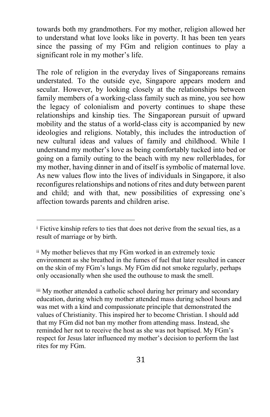towards both my grandmothers. For my mother, religion allowed her to understand what love looks like in poverty. It has been ten years since the passing of my FGm and religion continues to play a significant role in my mother's life.

The role of religion in the everyday lives of Singaporeans remains understated. To the outside eye, Singapore appears modern and secular. However, by looking closely at the relationships between family members of a working-class family such as mine, you see how the legacy of colonialism and poverty continues to shape these relationships and kinship ties. The Singaporean pursuit of upward mobility and the status of a world-class city is accompanied by new ideologies and religions. Notably, this includes the introduction of new cultural ideas and values of family and childhood. While I understand my mother's love as being comfortably tucked into bed or going on a family outing to the beach with my new rollerblades, for my mother, having dinner in and of itself is symbolic of maternal love. As new values flow into the lives of individuals in Singapore, it also reconfigures relationships and notions of rites and duty between parent and child; and with that, new possibilities of expressing one's affection towards parents and children arise.

<sup>&</sup>lt;sup>i</sup> Fictive kinship refers to ties that does not derive from the sexual ties, as a result of marriage or by birth.

ii My mother believes that my FGm worked in an extremely toxic environment as she breathed in the fumes of fuel that later resulted in cancer on the skin of my FGm's lungs. My FGm did not smoke regularly, perhaps only occasionally when she used the outhouse to mask the smell.

iii My mother attended a catholic school during her primary and secondary education, during which my mother attended mass during school hours and was met with a kind and compassionate principle that demonstrated the values of Christianity. This inspired her to become Christian. I should add that my FGm did not ban my mother from attending mass. Instead, she reminded her not to receive the host as she was not baptised. My FGm's respect for Jesus later influenced my mother's decision to perform the last rites for my FGm.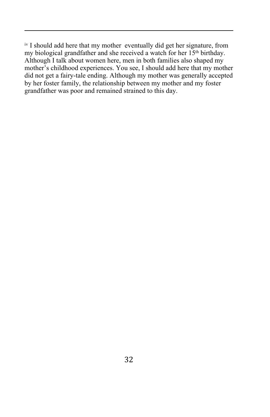iv I should add here that my mother eventually did get her signature, from my biological grandfather and she received a watch for her 15<sup>th</sup> birthday. Although I talk about women here, men in both families also shaped my mother's childhood experiences. You see, I should add here that my mother did not get a fairy-tale ending. Although my mother was generally accepted by her foster family, the relationship between my mother and my foster grandfather was poor and remained strained to this day.